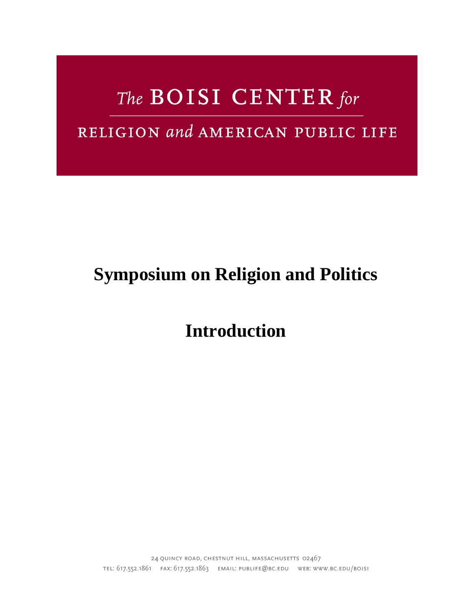# The BOISI CENTER for

## RELIGION and AMERICAN PUBLIC LIFE

## **Symposium on Religion and Politics**

**Introduction**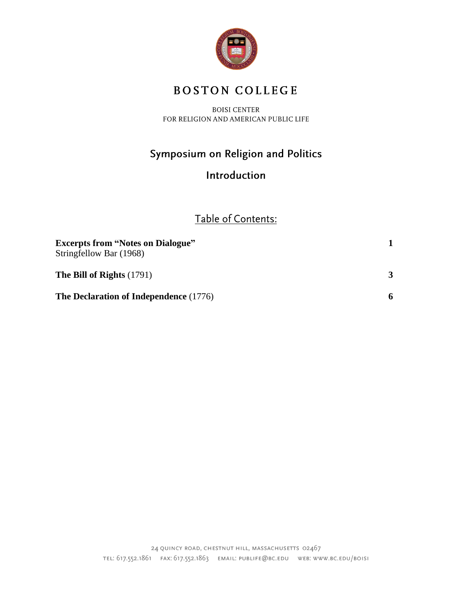

## **BOSTON COLLEGE**

**BOISI CENTER** FOR RELIGION AND AMERICAN PUBLIC LIFE

## Symposium on Religion and Politics

### Introduction

## Table of Contents:

| <b>Excerpts from "Notes on Dialogue"</b><br>Stringfellow Bar (1968) |  |
|---------------------------------------------------------------------|--|
| The Bill of Rights $(1791)$                                         |  |
| The Declaration of Independence (1776)                              |  |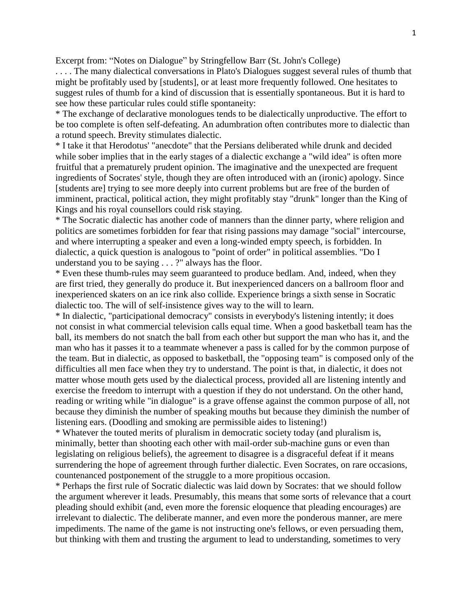Excerpt from: "Notes on Dialogue" by Stringfellow Barr (St. John's College)

. . . . The many dialectical conversations in Plato's Dialogues suggest several rules of thumb that might be profitably used by [students], or at least more frequently followed. One hesitates to suggest rules of thumb for a kind of discussion that is essentially spontaneous. But it is hard to see how these particular rules could stifle spontaneity:

\* The exchange of declarative monologues tends to be dialectically unproductive. The effort to be too complete is often self-defeating. An adumbration often contributes more to dialectic than a rotund speech. Brevity stimulates dialectic.

\* I take it that Herodotus' "anecdote" that the Persians deliberated while drunk and decided while sober implies that in the early stages of a dialectic exchange a "wild idea" is often more fruitful that a prematurely prudent opinion. The imaginative and the unexpected are frequent ingredients of Socrates' style, though they are often introduced with an (ironic) apology. Since [students are] trying to see more deeply into current problems but are free of the burden of imminent, practical, political action, they might profitably stay "drunk" longer than the King of Kings and his royal counsellors could risk staying.

\* The Socratic dialectic has another code of manners than the dinner party, where religion and politics are sometimes forbidden for fear that rising passions may damage "social" intercourse, and where interrupting a speaker and even a long-winded empty speech, is forbidden. In dialectic, a quick question is analogous to "point of order" in political assemblies. "Do I understand you to be saying . . . ?" always has the floor.

\* Even these thumb-rules may seem guaranteed to produce bedlam. And, indeed, when they are first tried, they generally do produce it. But inexperienced dancers on a ballroom floor and inexperienced skaters on an ice rink also collide. Experience brings a sixth sense in Socratic dialectic too. The will of self-insistence gives way to the will to learn.

\* In dialectic, "participational democracy" consists in everybody's listening intently; it does not consist in what commercial television calls equal time. When a good basketball team has the ball, its members do not snatch the ball from each other but support the man who has it, and the man who has it passes it to a teammate whenever a pass is called for by the common purpose of the team. But in dialectic, as opposed to basketball, the "opposing team" is composed only of the difficulties all men face when they try to understand. The point is that, in dialectic, it does not matter whose mouth gets used by the dialectical process, provided all are listening intently and exercise the freedom to interrupt with a question if they do not understand. On the other hand, reading or writing while "in dialogue" is a grave offense against the common purpose of all, not because they diminish the number of speaking mouths but because they diminish the number of listening ears. (Doodling and smoking are permissible aides to listening!)

\* Whatever the touted merits of pluralism in democratic society today (and pluralism is, minimally, better than shooting each other with mail-order sub-machine guns or even than legislating on religious beliefs), the agreement to disagree is a disgraceful defeat if it means surrendering the hope of agreement through further dialectic. Even Socrates, on rare occasions, countenanced postponement of the struggle to a more propitious occasion.

\* Perhaps the first rule of Socratic dialectic was laid down by Socrates: that we should follow the argument wherever it leads. Presumably, this means that some sorts of relevance that a court pleading should exhibit (and, even more the forensic eloquence that pleading encourages) are irrelevant to dialectic. The deliberate manner, and even more the ponderous manner, are mere impediments. The name of the game is not instructing one's fellows, or even persuading them, but thinking with them and trusting the argument to lead to understanding, sometimes to very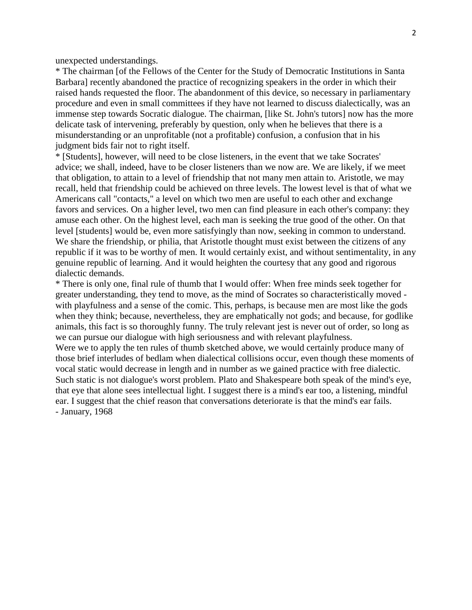unexpected understandings.

\* The chairman [of the Fellows of the Center for the Study of Democratic Institutions in Santa Barbara] recently abandoned the practice of recognizing speakers in the order in which their raised hands requested the floor. The abandonment of this device, so necessary in parliamentary procedure and even in small committees if they have not learned to discuss dialectically, was an immense step towards Socratic dialogue. The chairman, [like St. John's tutors] now has the more delicate task of intervening, preferably by question, only when he believes that there is a misunderstanding or an unprofitable (not a profitable) confusion, a confusion that in his judgment bids fair not to right itself.

\* [Students], however, will need to be close listeners, in the event that we take Socrates' advice; we shall, indeed, have to be closer listeners than we now are. We are likely, if we meet that obligation, to attain to a level of friendship that not many men attain to. Aristotle, we may recall, held that friendship could be achieved on three levels. The lowest level is that of what we Americans call "contacts," a level on which two men are useful to each other and exchange favors and services. On a higher level, two men can find pleasure in each other's company: they amuse each other. On the highest level, each man is seeking the true good of the other. On that level [students] would be, even more satisfyingly than now, seeking in common to understand. We share the friendship, or philia, that Aristotle thought must exist between the citizens of any republic if it was to be worthy of men. It would certainly exist, and without sentimentality, in any genuine republic of learning. And it would heighten the courtesy that any good and rigorous dialectic demands.

\* There is only one, final rule of thumb that I would offer: When free minds seek together for greater understanding, they tend to move, as the mind of Socrates so characteristically moved with playfulness and a sense of the comic. This, perhaps, is because men are most like the gods when they think; because, nevertheless, they are emphatically not gods; and because, for godlike animals, this fact is so thoroughly funny. The truly relevant jest is never out of order, so long as we can pursue our dialogue with high seriousness and with relevant playfulness.

Were we to apply the ten rules of thumb sketched above, we would certainly produce many of those brief interludes of bedlam when dialectical collisions occur, even though these moments of vocal static would decrease in length and in number as we gained practice with free dialectic. Such static is not dialogue's worst problem. Plato and Shakespeare both speak of the mind's eye, that eye that alone sees intellectual light. I suggest there is a mind's ear too, a listening, mindful ear. I suggest that the chief reason that conversations deteriorate is that the mind's ear fails.

- January, 1968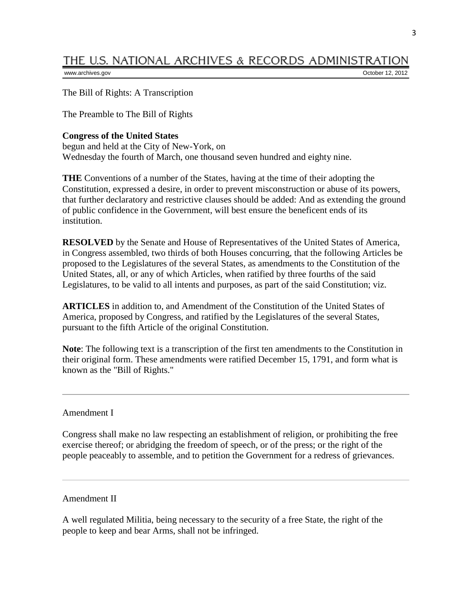### THE U.S. NATIONAL ARCHIVES & RECORDS ADMINISTRATION

[www.archives.gov](http://www.archives.gov/) October 12, 2012

The Bill of Rights: A Transcription

The Preamble to The Bill of Rights

#### **Congress of the United States**

begun and held at the City of New-York, on Wednesday the fourth of March, one thousand seven hundred and eighty nine.

**THE** Conventions of a number of the States, having at the time of their adopting the Constitution, expressed a desire, in order to prevent misconstruction or abuse of its powers, that further declaratory and restrictive clauses should be added: And as extending the ground of public confidence in the Government, will best ensure the beneficent ends of its institution.

**RESOLVED** by the Senate and House of Representatives of the United States of America, in Congress assembled, two thirds of both Houses concurring, that the following Articles be proposed to the Legislatures of the several States, as amendments to the Constitution of the United States, all, or any of which Articles, when ratified by three fourths of the said Legislatures, to be valid to all intents and purposes, as part of the said Constitution; viz.

**ARTICLES** in addition to, and Amendment of the Constitution of the United States of America, proposed by Congress, and ratified by the Legislatures of the several States, pursuant to the fifth Article of the original Constitution.

**Note**: The following text is a transcription of the first ten amendments to the Constitution in their original form. These amendments were ratified December 15, 1791, and form what is known as the "Bill of Rights."

Amendment I

Congress shall make no law respecting an establishment of religion, or prohibiting the free exercise thereof; or abridging the freedom of speech, or of the press; or the right of the people peaceably to assemble, and to petition the Government for a redress of grievances.

Amendment II

A well regulated Militia, being necessary to the security of a free State, the right of the people to keep and bear Arms, shall not be infringed.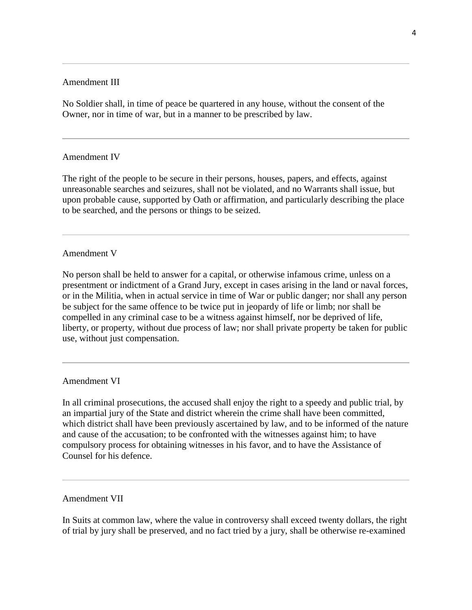#### Amendment III

No Soldier shall, in time of peace be quartered in any house, without the consent of the Owner, nor in time of war, but in a manner to be prescribed by law.

#### Amendment IV

The right of the people to be secure in their persons, houses, papers, and effects, against unreasonable searches and seizures, shall not be violated, and no Warrants shall issue, but upon probable cause, supported by Oath or affirmation, and particularly describing the place to be searched, and the persons or things to be seized.

#### Amendment V

No person shall be held to answer for a capital, or otherwise infamous crime, unless on a presentment or indictment of a Grand Jury, except in cases arising in the land or naval forces, or in the Militia, when in actual service in time of War or public danger; nor shall any person be subject for the same offence to be twice put in jeopardy of life or limb; nor shall be compelled in any criminal case to be a witness against himself, nor be deprived of life, liberty, or property, without due process of law; nor shall private property be taken for public use, without just compensation.

#### Amendment VI

In all criminal prosecutions, the accused shall enjoy the right to a speedy and public trial, by an impartial jury of the State and district wherein the crime shall have been committed, which district shall have been previously ascertained by law, and to be informed of the nature and cause of the accusation; to be confronted with the witnesses against him; to have compulsory process for obtaining witnesses in his favor, and to have the Assistance of Counsel for his defence.

#### Amendment VII

In Suits at common law, where the value in controversy shall exceed twenty dollars, the right of trial by jury shall be preserved, and no fact tried by a jury, shall be otherwise re-examined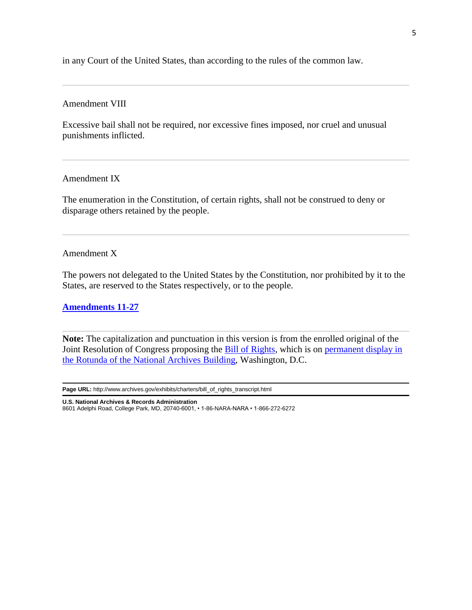in any Court of the United States, than according to the rules of the common law.

Amendment VIII

Excessive bail shall not be required, nor excessive fines imposed, nor cruel and unusual punishments inflicted.

Amendment IX

The enumeration in the Constitution, of certain rights, shall not be construed to deny or disparage others retained by the people.

#### Amendment X

The powers not delegated to the United States by the Constitution, nor prohibited by it to the States, are reserved to the States respectively, or to the people.

**[Amendments 11-27](http://www.archives.gov/exhibits/charters/constitution_amendments_11-27.html)**

**Note:** The capitalization and punctuation in this version is from the enrolled original of the Joint Resolution of Congress proposing the **Bill of Rights**, which is on permanent display in [the Rotunda of the National Archives Building,](http://www.archives.gov/nae/visit/) Washington, D.C.

**Page URL:** [http://www.archives.gov/exhibits/charters/bill\\_of\\_rights\\_transcript.html](http://www.archives.gov/exhibits/charters/bill_of_rights_transcript.html)

**U.S. National Archives & Records Administration**

8601 Adelphi Road, College Park, MD, 20740-6001, • 1-86-NARA-NARA • 1-866-272-6272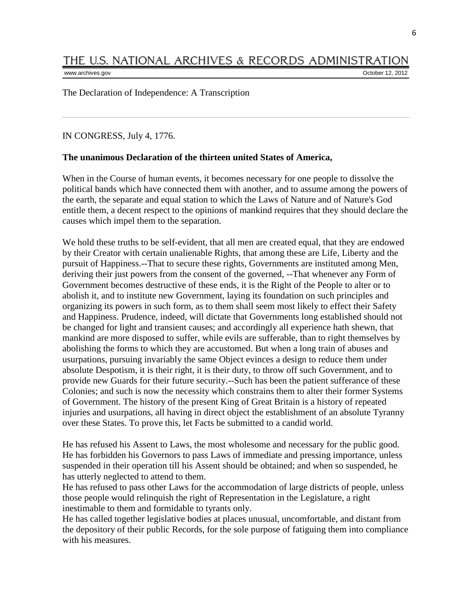#### THE U.S. NATIONAL ARCHIVES & RECORDS ADMINISTRATION [www.archives.gov](http://www.archives.gov/) **October 12, 2012**

The Declaration of Independence: A Transcription

IN CONGRESS, July 4, 1776.

#### **The unanimous Declaration of the thirteen united States of America,**

When in the Course of human events, it becomes necessary for one people to dissolve the political bands which have connected them with another, and to assume among the powers of the earth, the separate and equal station to which the Laws of Nature and of Nature's God entitle them, a decent respect to the opinions of mankind requires that they should declare the causes which impel them to the separation.

We hold these truths to be self-evident, that all men are created equal, that they are endowed by their Creator with certain unalienable Rights, that among these are Life, Liberty and the pursuit of Happiness.--That to secure these rights, Governments are instituted among Men, deriving their just powers from the consent of the governed, --That whenever any Form of Government becomes destructive of these ends, it is the Right of the People to alter or to abolish it, and to institute new Government, laying its foundation on such principles and organizing its powers in such form, as to them shall seem most likely to effect their Safety and Happiness. Prudence, indeed, will dictate that Governments long established should not be changed for light and transient causes; and accordingly all experience hath shewn, that mankind are more disposed to suffer, while evils are sufferable, than to right themselves by abolishing the forms to which they are accustomed. But when a long train of abuses and usurpations, pursuing invariably the same Object evinces a design to reduce them under absolute Despotism, it is their right, it is their duty, to throw off such Government, and to provide new Guards for their future security.--Such has been the patient sufferance of these Colonies; and such is now the necessity which constrains them to alter their former Systems of Government. The history of the present King of Great Britain is a history of repeated injuries and usurpations, all having in direct object the establishment of an absolute Tyranny over these States. To prove this, let Facts be submitted to a candid world.

He has refused his Assent to Laws, the most wholesome and necessary for the public good. He has forbidden his Governors to pass Laws of immediate and pressing importance, unless suspended in their operation till his Assent should be obtained; and when so suspended, he has utterly neglected to attend to them.

He has refused to pass other Laws for the accommodation of large districts of people, unless those people would relinquish the right of Representation in the Legislature, a right inestimable to them and formidable to tyrants only.

He has called together legislative bodies at places unusual, uncomfortable, and distant from the depository of their public Records, for the sole purpose of fatiguing them into compliance with his measures.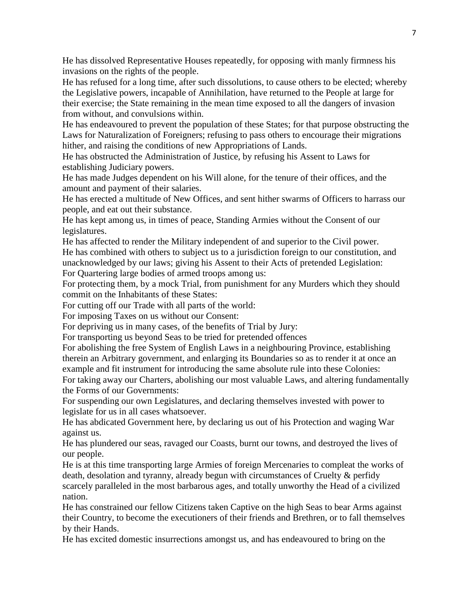He has dissolved Representative Houses repeatedly, for opposing with manly firmness his invasions on the rights of the people.

He has refused for a long time, after such dissolutions, to cause others to be elected; whereby the Legislative powers, incapable of Annihilation, have returned to the People at large for their exercise; the State remaining in the mean time exposed to all the dangers of invasion from without, and convulsions within.

He has endeavoured to prevent the population of these States; for that purpose obstructing the Laws for Naturalization of Foreigners; refusing to pass others to encourage their migrations hither, and raising the conditions of new Appropriations of Lands.

He has obstructed the Administration of Justice, by refusing his Assent to Laws for establishing Judiciary powers.

He has made Judges dependent on his Will alone, for the tenure of their offices, and the amount and payment of their salaries.

He has erected a multitude of New Offices, and sent hither swarms of Officers to harrass our people, and eat out their substance.

He has kept among us, in times of peace, Standing Armies without the Consent of our legislatures.

He has affected to render the Military independent of and superior to the Civil power. He has combined with others to subject us to a jurisdiction foreign to our constitution, and unacknowledged by our laws; giving his Assent to their Acts of pretended Legislation: For Quartering large bodies of armed troops among us:

For protecting them, by a mock Trial, from punishment for any Murders which they should commit on the Inhabitants of these States:

For cutting off our Trade with all parts of the world:

For imposing Taxes on us without our Consent:

For depriving us in many cases, of the benefits of Trial by Jury:

For transporting us beyond Seas to be tried for pretended offences

For abolishing the free System of English Laws in a neighbouring Province, establishing therein an Arbitrary government, and enlarging its Boundaries so as to render it at once an example and fit instrument for introducing the same absolute rule into these Colonies:

For taking away our Charters, abolishing our most valuable Laws, and altering fundamentally the Forms of our Governments:

For suspending our own Legislatures, and declaring themselves invested with power to legislate for us in all cases whatsoever.

He has abdicated Government here, by declaring us out of his Protection and waging War against us.

He has plundered our seas, ravaged our Coasts, burnt our towns, and destroyed the lives of our people.

He is at this time transporting large Armies of foreign Mercenaries to compleat the works of death, desolation and tyranny, already begun with circumstances of Cruelty & perfidy scarcely paralleled in the most barbarous ages, and totally unworthy the Head of a civilized nation.

He has constrained our fellow Citizens taken Captive on the high Seas to bear Arms against their Country, to become the executioners of their friends and Brethren, or to fall themselves by their Hands.

He has excited domestic insurrections amongst us, and has endeavoured to bring on the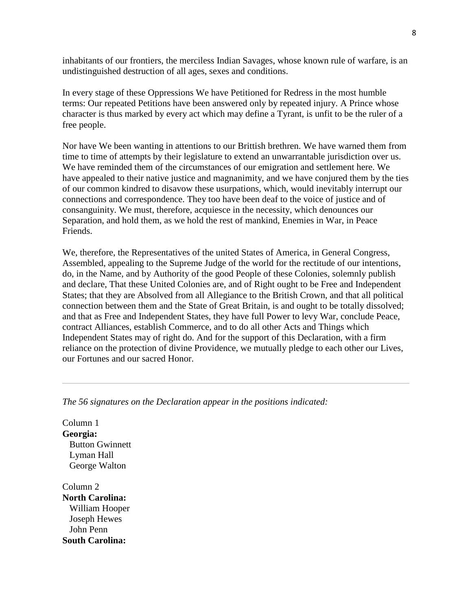inhabitants of our frontiers, the merciless Indian Savages, whose known rule of warfare, is an undistinguished destruction of all ages, sexes and conditions.

In every stage of these Oppressions We have Petitioned for Redress in the most humble terms: Our repeated Petitions have been answered only by repeated injury. A Prince whose character is thus marked by every act which may define a Tyrant, is unfit to be the ruler of a free people.

Nor have We been wanting in attentions to our Brittish brethren. We have warned them from time to time of attempts by their legislature to extend an unwarrantable jurisdiction over us. We have reminded them of the circumstances of our emigration and settlement here. We have appealed to their native justice and magnanimity, and we have conjured them by the ties of our common kindred to disavow these usurpations, which, would inevitably interrupt our connections and correspondence. They too have been deaf to the voice of justice and of consanguinity. We must, therefore, acquiesce in the necessity, which denounces our Separation, and hold them, as we hold the rest of mankind, Enemies in War, in Peace Friends.

We, therefore, the Representatives of the united States of America, in General Congress, Assembled, appealing to the Supreme Judge of the world for the rectitude of our intentions, do, in the Name, and by Authority of the good People of these Colonies, solemnly publish and declare, That these United Colonies are, and of Right ought to be Free and Independent States; that they are Absolved from all Allegiance to the British Crown, and that all political connection between them and the State of Great Britain, is and ought to be totally dissolved; and that as Free and Independent States, they have full Power to levy War, conclude Peace, contract Alliances, establish Commerce, and to do all other Acts and Things which Independent States may of right do. And for the support of this Declaration, with a firm reliance on the protection of divine Providence, we mutually pledge to each other our Lives, our Fortunes and our sacred Honor.

*The 56 signatures on the Declaration appear in the positions indicated:*

Column 1 **Georgia:** Button Gwinnett Lyman Hall George Walton

Column 2 **North Carolina:** William Hooper Joseph Hewes John Penn **South Carolina:**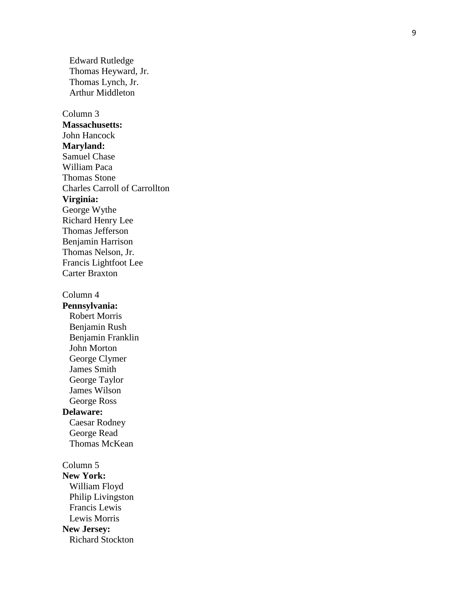Edward Rutledge Thomas Heyward, Jr. Thomas Lynch, Jr. Arthur Middleton

Column 3 **Massachusetts:** John Hancock **Maryland:** Samuel Chase William Paca Thomas Stone Charles Carroll of Carrollton **Virginia:** George Wythe Richard Henry Lee Thomas Jefferson Benjamin Harrison Thomas Nelson, Jr. Francis Lightfoot Lee Carter Braxton

Column 4

**Pennsylvania:** Robert Morris Benjamin Rush Benjamin Franklin John Morton George Clymer James Smith George Taylor James Wilson George Ross **Delaware:** Caesar Rodney George Read Thomas McKean

Column 5 **New York:** William Floyd Philip Livingston Francis Lewis Lewis Morris **New Jersey:** Richard Stockton